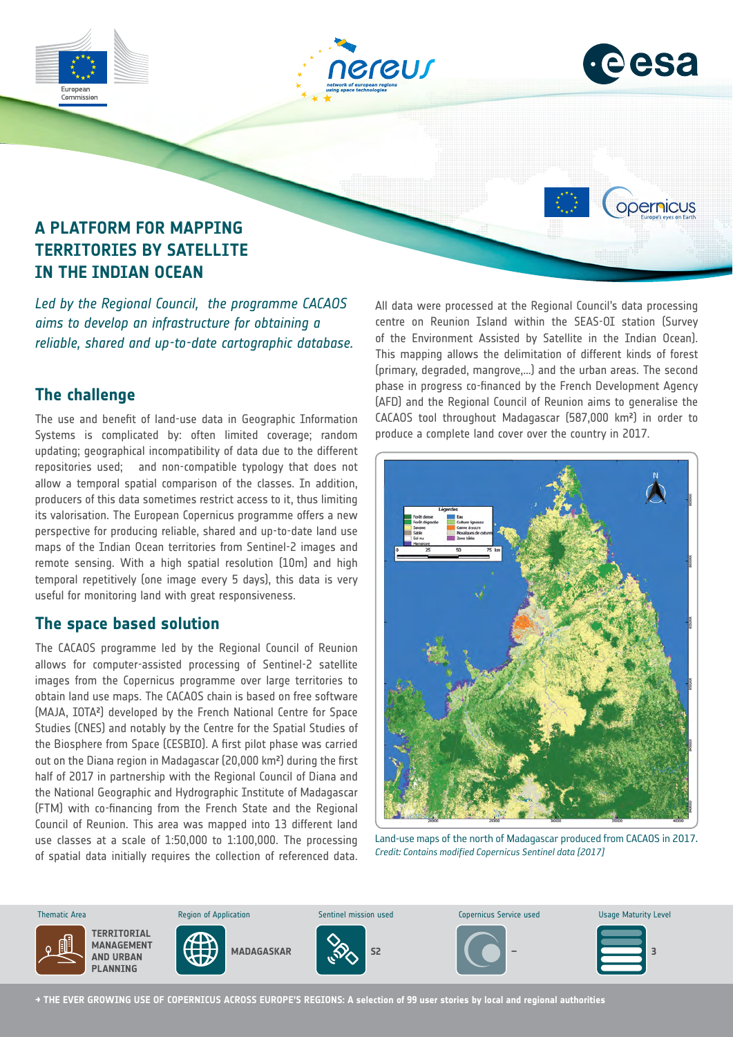

## **The challenge**

The use and benefit of land-use data in Geographic Information Systems is complicated by: often limited coverage; random updating; geographical incompatibility of data due to the different repositories used; and non-compatible typology that does not allow a temporal spatial comparison of the classes. In addition, producers of this data sometimes restrict access to it, thus limiting its valorisation. The European Copernicus programme offers a new perspective for producing reliable, shared and up-to-date land use maps of the Indian Ocean territories from Sentinel-2 images and remote sensing. With a high spatial resolution (10m) and high temporal repetitively (one image every 5 days), this data is very useful for monitoring land with great responsiveness.

### **The space based solution**

The CACAOS programme led by the Regional Council of Reunion allows for computer-assisted processing of Sentinel-2 satellite images from the Copernicus programme over large territories to obtain land use maps. The CACAOS chain is based on free software (MAJA, IOTA²) developed by the French National Centre for Space Studies (CNES) and notably by the Centre for the Spatial Studies of the Biosphere from Space (CESBIO). A first pilot phase was carried out on the Diana region in Madagascar (20,000 km²) during the first half of 2017 in partnership with the Regional Council of Diana and the National Geographic and Hydrographic Institute of Madagascar (FTM) with co-financing from the French State and the Regional Council of Reunion. This area was mapped into 13 different land use classes at a scale of 1:50,000 to 1:100,000. The processing of spatial data initially requires the collection of referenced data. (primary, degraded, mangrove,…) and the urban areas. The second phase in progress co-financed by the French Development Agency (AFD) and the Regional Council of Reunion aims to generalise the CACAOS tool throughout Madagascar (587,000 km²) in order to produce a complete land cover over the country in 2017.



Land-use maps of the north of Madagascar produced from CACAOS in 2017. *Credit: Contains modified Copernicus Sentinel data [2017]*



**→ THE EVER GROWING USE OF COPERNICUS ACROSS EUROPE'S REGIONS: A selection of 99 user stories by local and regional authorities**